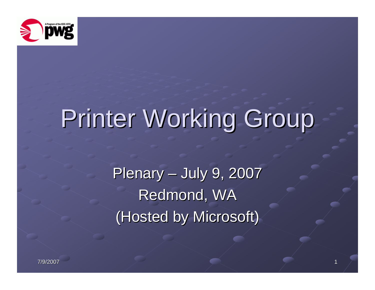

# Printer Working Group

Plenary – July 9, 2007 Redmond, WA (Hosted by Microsoft)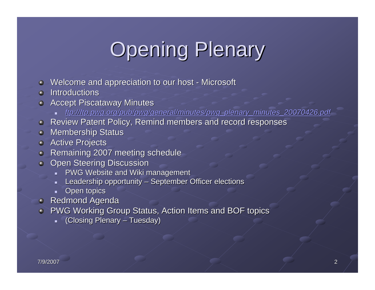## **Opening Plenary**

- Welcome and appreciation to our host Microsoft  $\bullet$
- Introductions  $\Omega$
- **Accept Piscataway Minutes** 
	- ┙ *ftp://ftp.pwg.org/pub/pwg/general [ftp://ftp.pwg.org/pub/pwg/general/minutes/pwg\\_plenary\\_minutes\\_20](ftp://ftp.pwg.org/pub/pwg/general/minutes/pwg_plenary_minutes_20070426.pdf) /minutes/pwg\_plenary\_minutes\_20070426.pdf 070426.pdf*
- **Review Patent Policy, Remind members and record responses Review Patent Policy, Remind members and record responses**
- **Membership Status**
- **Active Projects**  $\bullet$
- Remaining 2007 meeting schedule
- **Open Steering Discussion**  $\bullet$ 
	- $\blacksquare$ PWG Website and Wiki management
	- ÷. Leadership opportunity – September Officer elections
	- ۷ Open topics
- **Redmond Agenda**
- PWG Working Group Status, Action Items and BOF topics Θ.
	- u. (Closing Plenary – Tuesday)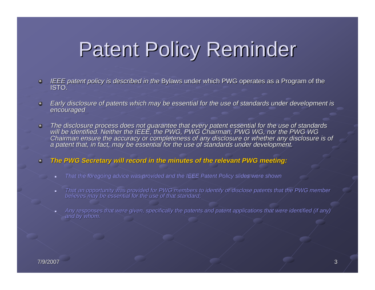## **Patent Policy Reminder**

- *IEEE patent policy is described in the Bylaws under which PWG operates as a Program of the ISTO.*  $\bullet$
- Early disclosure of patents which may be essential for the use of standards under development is encouraged  $\bullet$
- The disclosure process does not guarantee that every patent essential for the use of standards<br>will be identified. Neither the IEEE, the PWG, PWG Chairman, PWG WG, nor the PWG WG  $\bullet$ Chairman ensure the accuracy or completeness of any disclosure or whether any disclosure is of<br>a patent that, in fact, may be essential for the use of standards under development.
- *The PWG Secretary will record in the minutes of the relevant PWG meeting: meeting:*  $\bullet$ 
	- *That the foregoing advice was provided and the IEEE Patent Policy slides were shown*
	- $\blacksquare$ That an opportunity was provided for PWG members to identify or disclose patents that the PWG member<br>believes may be essential for the use of that standard;
	- ш Any responses that were given, specifically the patents and patent applications that were identified (if any)<br>and by whom.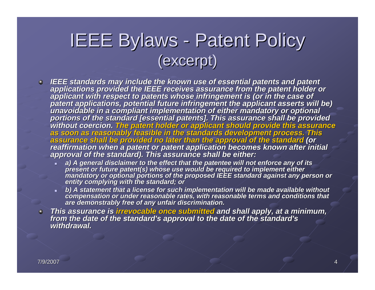#### IEEE Bylaws - Patent Policy (excerpt) (excerpt)

- **IEEE standards may include the known use of essential patents and patent<br>applications provided the IEEE receives assurance from the patent holder or<br>applicant with respect to patents whose infringement is (or in the case** portions of the standard [essential patents]. This assurance shall be provided<br>without coercion. The patent holder or applicant should provide this assurance<br>as soon as reasonably feasible in the standards development proc
	- ш a) A general disclaimer to the effect that the patentee will not enforce any of its<br>present or future patent(s) whose use would be required to implement either<br>mandatory or optional portions of the proposed IEEE standard a
	- ш b) A statement that a license for such implementation will be made available without<br>compensation or under reasonable rates, with reasonable terms and conditions that<br>are demonstrably free of any unfair discrimination.
- This assurance is <mark>irrevocable once submitted</mark> and shall apply, at a minimum,<br>from the date of the standard's approval to the date of the standard's<br>withdrawal. *withdrawal.*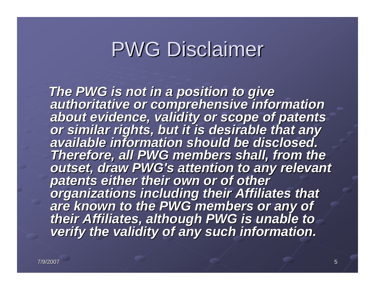### **PWG Disclaimer**

The PWG is not in a position to give<br>authoritative or comprehensive information<br>about evidence, validity or scope of patents<br>or similar rights, but it is desirable that any<br>available information should be disclosed. **Therefore, all PWG members shall, from the absoluted members on the Therefore, all PWG**'s attention to any relevant patents either their own or of other<br>organizations including their Affiliates that<br>are known to the PWG members or any of<br>their Affiliates, although PWG is unable to<br>verify the validity of any such information.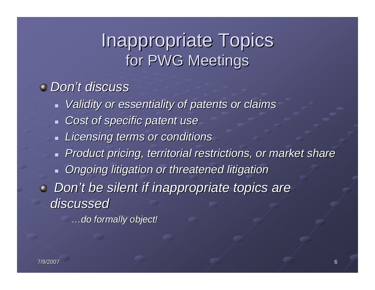#### **Inappropriate Topics** for PWG Meetings

#### *Don't discuss t discuss*

- *Validity or essentiality of patents or claims Validity or essentiality of patents or claims*
- *Cost of specific patent use Cost of specific patent use*
- *Licensing terms or conditions Licensing terms or conditions*
- *Product pricing, territorial restrictions, or market share Product pricing, territorial restrictions, or market share*
- **Diang-bidge Digation or threatened litigation or threatened litigation**
- *Don't be silent if inappropriate topics are discussed discussed*

*…do formally object! do formally object!*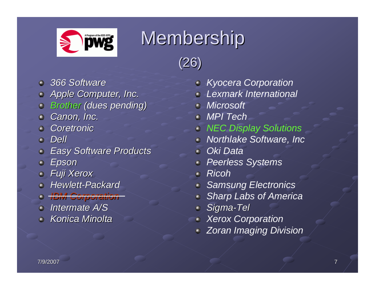

#### Membership



- *366 Software 366 Software*
- *Apple Computer, Inc. Apple Computer, Inc.*
- *Brother Brother (dues pending) (dues pending)*
- *Canon, Inc. Canon, Inc.*
- *Coretronic Coretronic*
- *Dell*
- *Easy Software Products Easy Software Products*
- *Epson*
- *Fuji Xerox Fuji Xerox*  $\bullet$
- *Hewlett Hewlett-Packard Packard*
- *IBM Corporation IBM Corporation*
- *Intermate Intermate A/S*
- *Konica Minolta Konica Minolta*
- *Kyocera Corporation*
- *Lexmark International*
- *Microsoft*
- *MPI Tech*
- *NEC Display Solutions*
- *Northlake Software, Inc*
- *Oki Data*
- *Peerless Systems*
- *Ricoh* $\hat{\mathbf{m}}$
- *Samsung Electronics*
- *Sharp Labs of America*
- *Sigma-Tel*   $\bullet$
- *Xerox Corporation*
- *Zoran Imaging Division*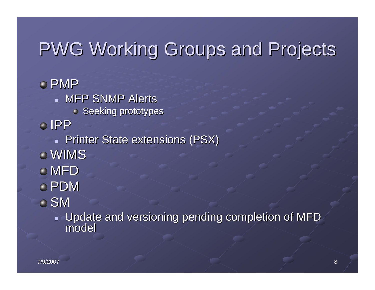#### PWG Working Groups and Projects

PMP **MFP SNMP Alerts**  $\bullet$  Seeking prototypes IPP**Printer State extensions (PSX)** WIMSMFD PDMSM $\overline{\phantom{0}}$ 

 $\blacksquare$  Update and versioning pending completion of MFD model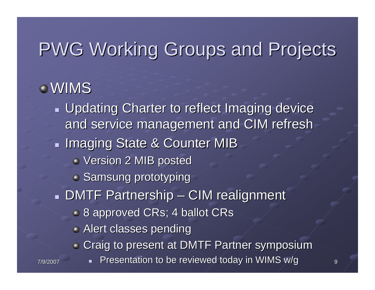#### PWG Working Groups and Projects

#### WIMS

<sub>7</sub> Presentation to be reviewed today in WIMS w/g <sub>9</sub> **Updating Charter to reflect Imaging device** and service management and CIM refresh **Imaging State & Counter MIB** Version 2 MIB posted Version 2 MIB posted **Samsung prototyping**  $\textcolor{red}{\bullet}$  DMTF Partnership – CIM realignment **8 approved CRs; 4 ballot CRs Alert classes pending** Craig to present at DMTF Partner symposium Craig to present at DMTF Partner symposium <u>a i</u>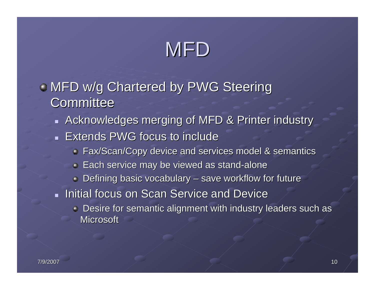## MFD

- $\bullet$  MFD w/g Chartered by PWG Steering **Committee** 
	- $\blacksquare$  Acknowledges merging of MFD & Printer industry  $\blacksquare$  Extends PWG focus to include
		- **Fax/Scan/Copy device and services model & semantics in Fax/Scan/Copy device and services model & semantics** 
			- $\blacktriangleright$  Each service may be viewed as stand-alone
		- $\bullet$  Defining basic vocabulary save workflow for future
	- **Initial focus on Scan Service and Device Initial focus on Scan Service** 
		- $\bullet$  Desire for semantic alignment with industry leaders such as **Microsoft**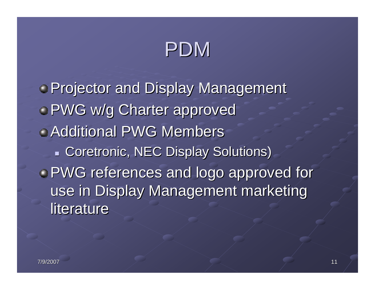### PDM

**• Projector and Display Management • PWG w/g Charter approved Additional PWG Members Coretronic, NEC Display Solutions)** ( PWG references and logo approved for PWG references and logo approved for use in Display Management marketing literature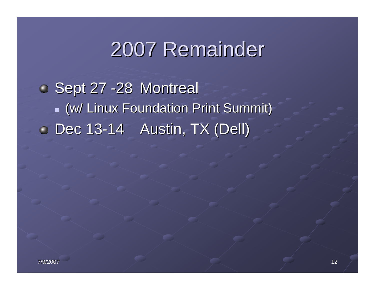#### 2007 Remainder 2007 Remainder

 $\blacksquare$  Sept 27 -28 Montreal  $\blacksquare$  (w/ Linux Foundation Print Summit) $\blacksquare$ Dec 13-14 Austin, TX (Dell)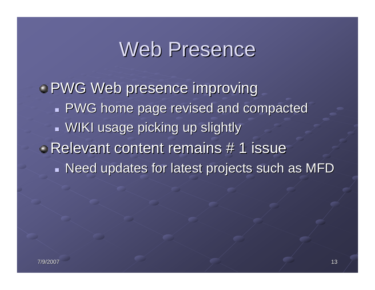#### Web Presence

**PWG Web presence improving PWG home page revised and compacted**  $\blacksquare$  WIKI usage picking up slightly Relevant content remains # 1 issue  $\blacksquare$  Need updates for latest projects such as MFD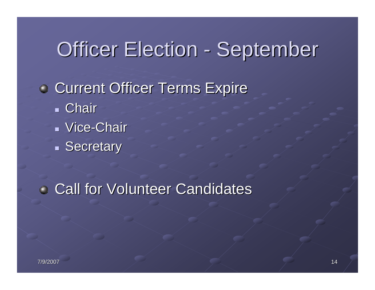#### Officer Election - September

**• Current Officer Terms Expire**  Chair Vice-Chair Secretary

**Call for Volunteer Candidates**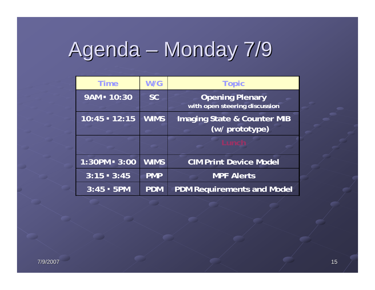## Agenda – Monday 7/9

| <b>Time</b>     | W/G         | <b>Topic</b>                                             |
|-----------------|-------------|----------------------------------------------------------|
| 9AM = 10:30     | <b>SC</b>   | <b>Opening Plenary</b><br>with open steering discussion  |
| $10:45 - 12:15$ | <b>WIMS</b> | <b>Imaging State &amp; Counter MIB</b><br>(w/ prototype) |
|                 |             | Lunch                                                    |
| $1:30PM - 3:00$ | <b>WIMS</b> | <b>CIM Print Device Model</b>                            |
| $3:15 - 3:45$   | <b>PMP</b>  | <b>MPF Alerts</b>                                        |
| $3:45 - 5$ PM   | <b>PDM</b>  | <b>PDM Requirements and Model</b>                        |